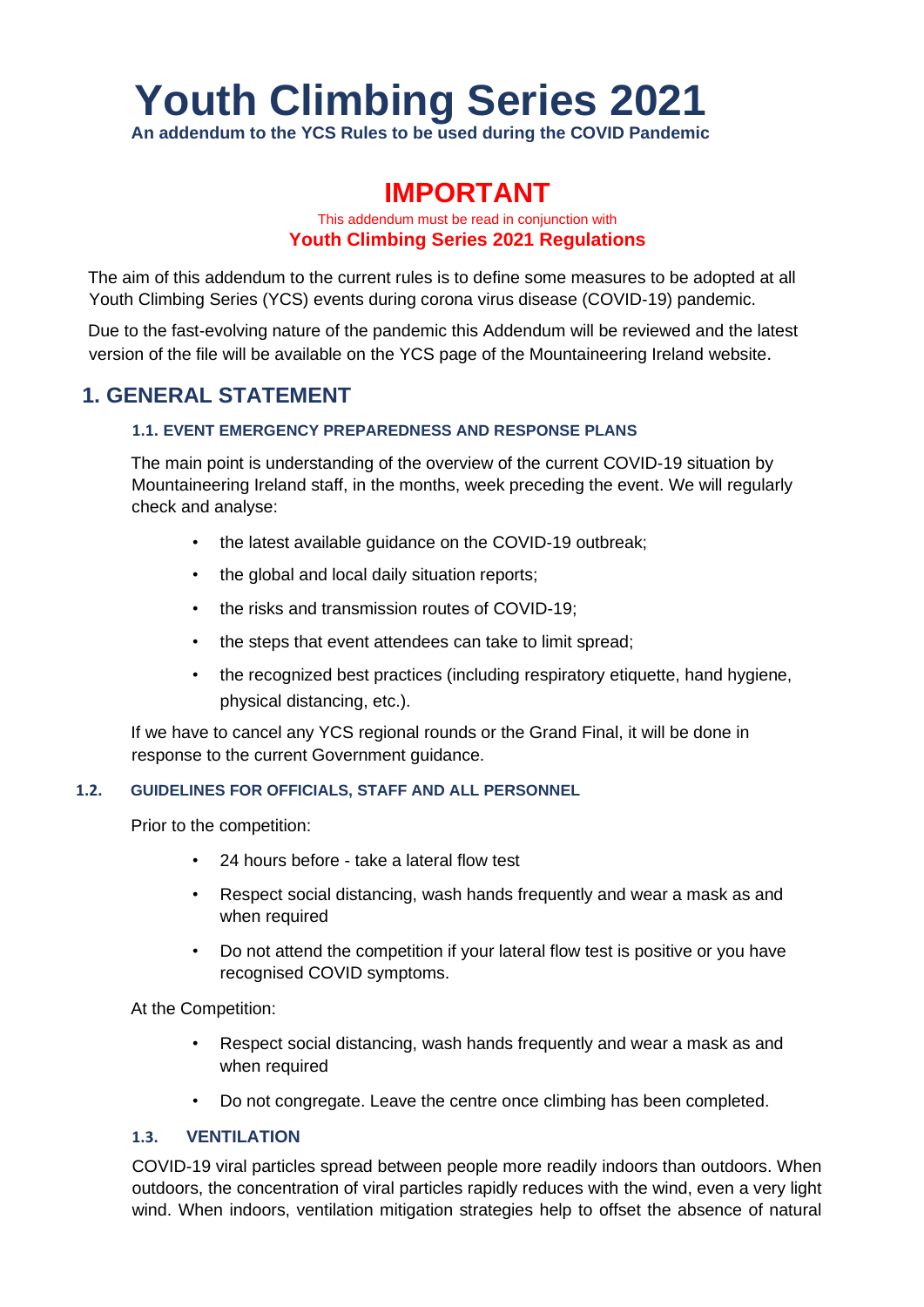# **Youth Climbing Series 2021**

**An addendum to the YCS Rules to be used during the COVID Pandemic**

## **IMPORTANT**

## This addendum must be read in conjunction with **Youth Climbing Series 2021 Regulations**

The aim of this addendum to the current rules is to define some measures to be adopted at all Youth Climbing Series (YCS) events during corona virus disease (COVID-19) pandemic.

Due to the fast-evolving nature of the pandemic this Addendum will be reviewed and the latest version of the file will be available on the YCS page of the Mountaineering Ireland website.

## **1. GENERAL STATEMENT**

## **1.1. EVENT EMERGENCY PREPAREDNESS AND RESPONSE PLANS**

The main point is understanding of the overview of the current COVID-19 situation by Mountaineering Ireland staff, in the months, week preceding the event. We will regularly check and analyse:

- the latest available guidance on the COVID-19 outbreak;
- the global and local daily situation reports;
- the risks and transmission routes of COVID-19;
- the steps that event attendees can take to limit spread;
- the recognized best practices (including respiratory etiquette, hand hygiene, physical distancing, etc.).

If we have to cancel any YCS regional rounds or the Grand Final, it will be done in response to the current Government guidance.

#### **1.2. GUIDELINES FOR OFFICIALS, STAFF AND ALL PERSONNEL**

Prior to the competition:

- 24 hours before take a lateral flow test
- Respect social distancing, wash hands frequently and wear a mask as and when required
- Do not attend the competition if your lateral flow test is positive or you have recognised COVID symptoms.

At the Competition:

- Respect social distancing, wash hands frequently and wear a mask as and when required
- Do not congregate. Leave the centre once climbing has been completed.

## **1.3. VENTILATION**

COVID-19 viral particles spread between people more readily indoors than outdoors. When outdoors, the concentration of viral particles rapidly reduces with the wind, even a very light wind. When indoors, ventilation mitigation strategies help to offset the absence of natural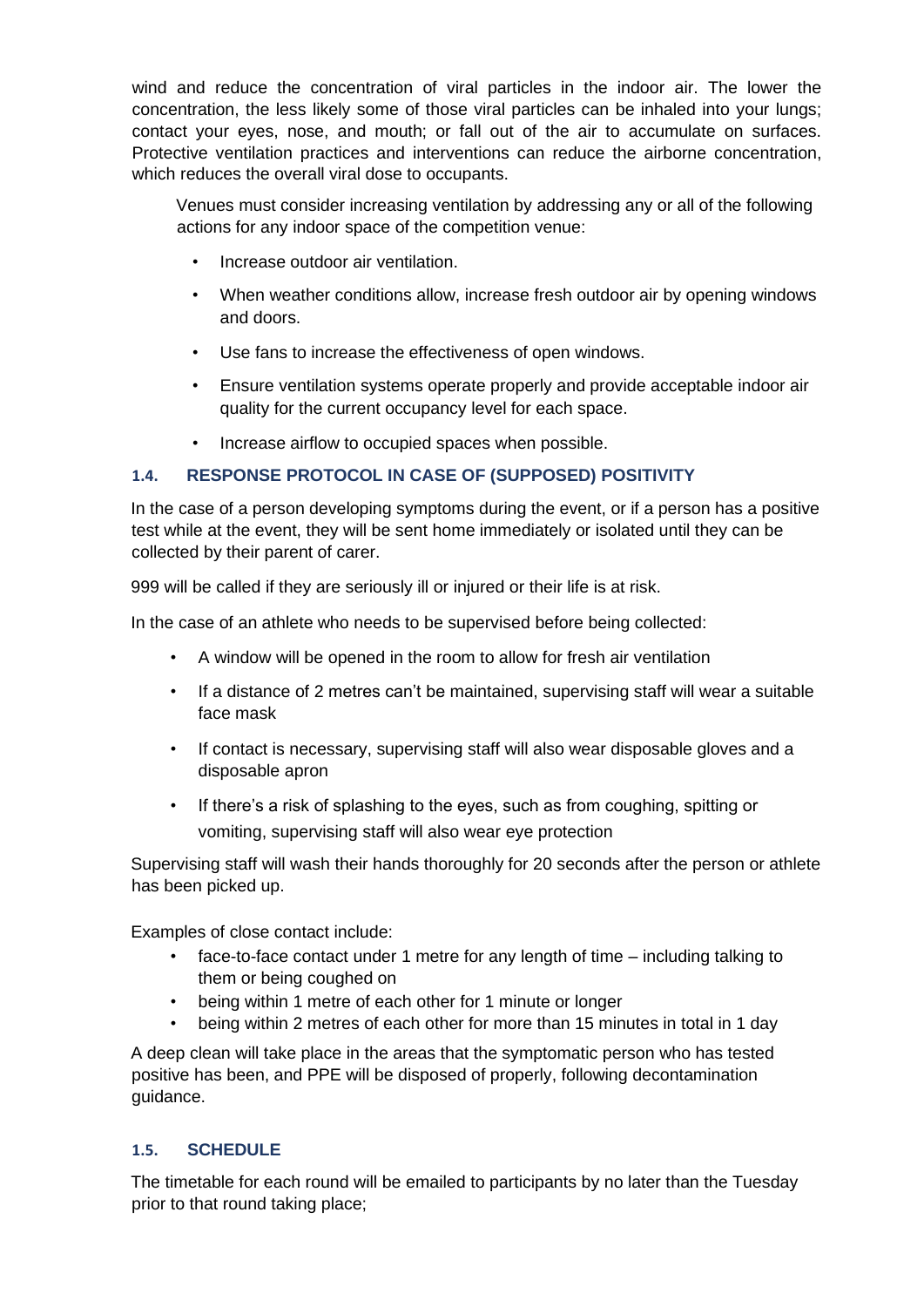wind and reduce the concentration of viral particles in the indoor air. The lower the concentration, the less likely some of those viral particles can be inhaled into your lungs; contact your eyes, nose, and mouth; or fall out of the air to accumulate on surfaces. Protective ventilation practices and interventions can reduce the airborne concentration, which reduces the overall viral dose to occupants.

Venues must consider increasing ventilation by addressing any or all of the following actions for any indoor space of the competition venue:

- Increase outdoor air ventilation.
- When weather conditions allow, increase fresh outdoor air by opening windows and doors.
- Use fans to increase the effectiveness of open windows.
- Ensure ventilation systems operate properly and provide acceptable indoor air quality for the current occupancy level for each space.
- Increase airflow to occupied spaces when possible.

## **1.4. RESPONSE PROTOCOL IN CASE OF (SUPPOSED) POSITIVITY**

In the case of a person developing symptoms during the event, or if a person has a positive test while at the event, they will be sent home immediately or isolated until they can be collected by their parent of carer.

999 will be called if they are seriously ill or injured or their life is at risk.

In the case of an athlete who needs to be supervised before being collected:

- A window will be opened in the room to allow for fresh air ventilation
- If a distance of 2 metres can't be maintained, supervising staff will wear a suitable face mask
- If contact is necessary, supervising staff will also wear disposable gloves and a disposable apron
- If there's a risk of splashing to the eyes, such as from coughing, spitting or vomiting, supervising staff will also wear eye protection

Supervising staff will wash their hands thoroughly for 20 seconds after the person or athlete has been picked up.

Examples of close contact include:

- face-to-face contact under 1 metre for any length of time including talking to them or being coughed on
- being within 1 metre of each other for 1 minute or longer
- being within 2 metres of each other for more than 15 minutes in total in 1 day

A deep clean will take place in the areas that the symptomatic person who has tested positive has been, and PPE will be disposed of properly, following decontamination guidance.

## **1.5. SCHEDULE**

The timetable for each round will be emailed to participants by no later than the Tuesday prior to that round taking place;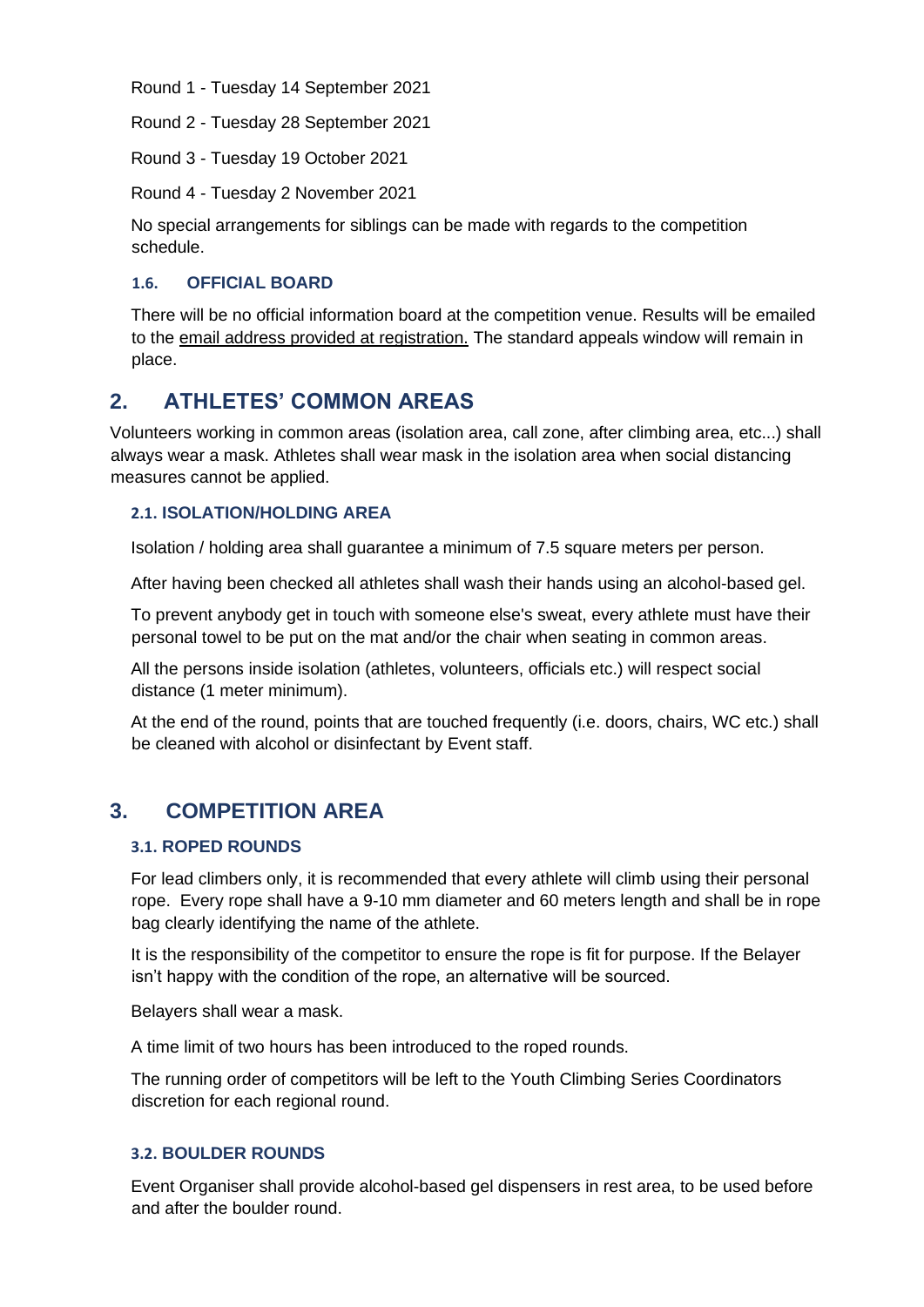Round 1 - Tuesday 14 September 2021

Round 2 - Tuesday 28 September 2021

Round 3 - Tuesday 19 October 2021

Round 4 - Tuesday 2 November 2021

No special arrangements for siblings can be made with regards to the competition schedule.

## **1.6. OFFICIAL BOARD**

There will be no official information board at the competition venue. Results will be emailed to the email address provided at registration. The standard appeals window will remain in place.

## **2. ATHLETES' COMMON AREAS**

Volunteers working in common areas (isolation area, call zone, after climbing area, etc...) shall always wear a mask. Athletes shall wear mask in the isolation area when social distancing measures cannot be applied.

## **2.1. ISOLATION/HOLDING AREA**

Isolation / holding area shall guarantee a minimum of 7.5 square meters per person.

After having been checked all athletes shall wash their hands using an alcohol-based gel.

To prevent anybody get in touch with someone else's sweat, every athlete must have their personal towel to be put on the mat and/or the chair when seating in common areas.

All the persons inside isolation (athletes, volunteers, officials etc.) will respect social distance (1 meter minimum).

At the end of the round, points that are touched frequently (i.e. doors, chairs, WC etc.) shall be cleaned with alcohol or disinfectant by Event staff.

## **3. COMPETITION AREA**

#### **3.1. ROPED ROUNDS**

For lead climbers only, it is recommended that every athlete will climb using their personal rope. Every rope shall have a 9-10 mm diameter and 60 meters length and shall be in rope bag clearly identifying the name of the athlete.

It is the responsibility of the competitor to ensure the rope is fit for purpose. If the Belayer isn't happy with the condition of the rope, an alternative will be sourced.

Belayers shall wear a mask.

A time limit of two hours has been introduced to the roped rounds.

The running order of competitors will be left to the Youth Climbing Series Coordinators discretion for each regional round.

#### **3.2. BOULDER ROUNDS**

Event Organiser shall provide alcohol-based gel dispensers in rest area, to be used before and after the boulder round.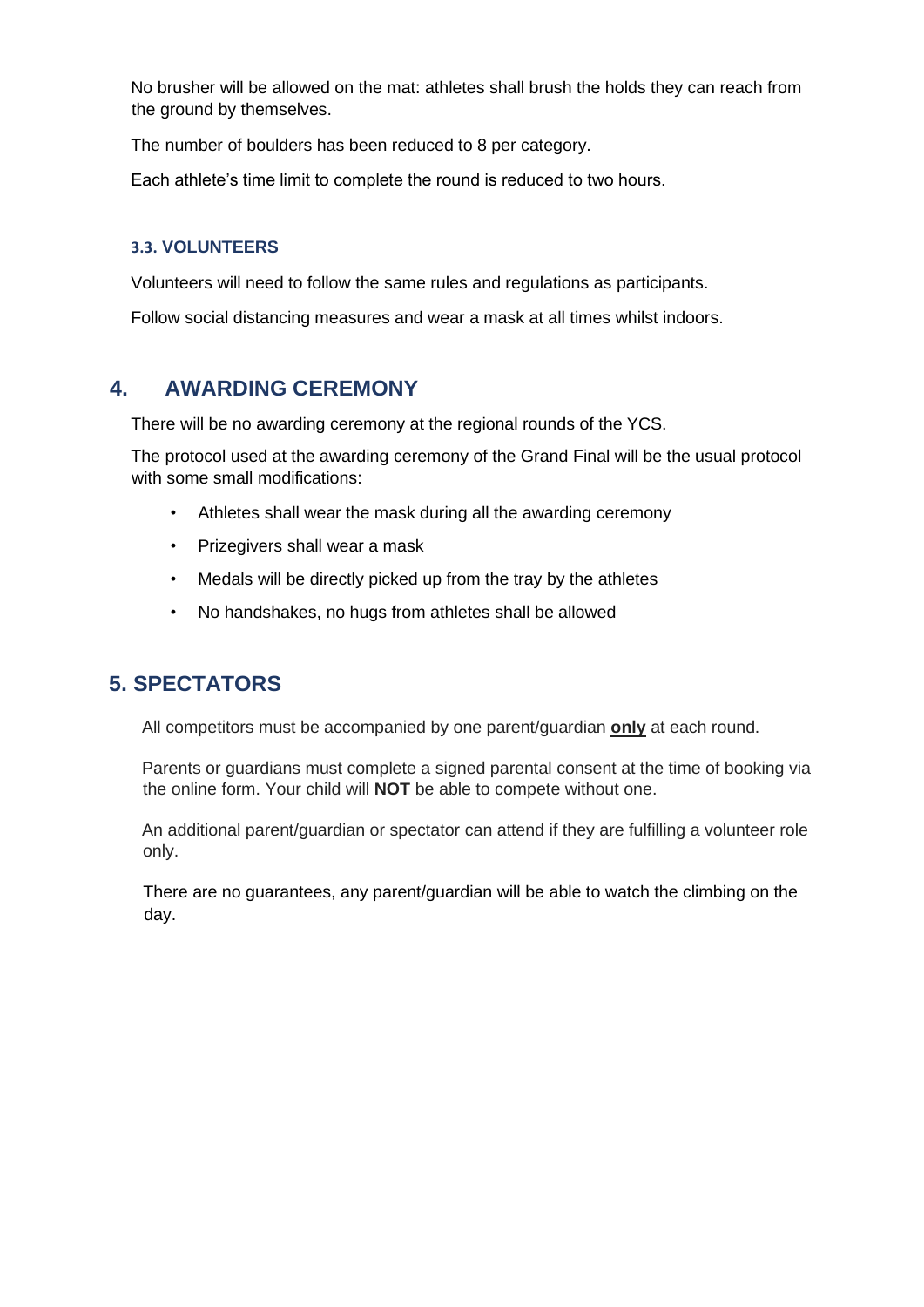No brusher will be allowed on the mat: athletes shall brush the holds they can reach from the ground by themselves.

The number of boulders has been reduced to 8 per category.

Each athlete's time limit to complete the round is reduced to two hours.

#### **3.3. VOLUNTEERS**

Volunteers will need to follow the same rules and regulations as participants.

Follow social distancing measures and wear a mask at all times whilst indoors.

## **4. AWARDING CEREMONY**

There will be no awarding ceremony at the regional rounds of the YCS.

The protocol used at the awarding ceremony of the Grand Final will be the usual protocol with some small modifications:

- Athletes shall wear the mask during all the awarding ceremony
- Prizegivers shall wear a mask
- Medals will be directly picked up from the tray by the athletes
- No handshakes, no hugs from athletes shall be allowed

## **5. SPECTATORS**

All competitors must be accompanied by one parent/guardian **only** at each round.

Parents or guardians must complete a signed parental consent at the time of booking via the online form. Your child will **NOT** be able to compete without one.

An additional parent/guardian or spectator can attend if they are fulfilling a volunteer role only.

There are no guarantees, any parent/guardian will be able to watch the climbing on the day.